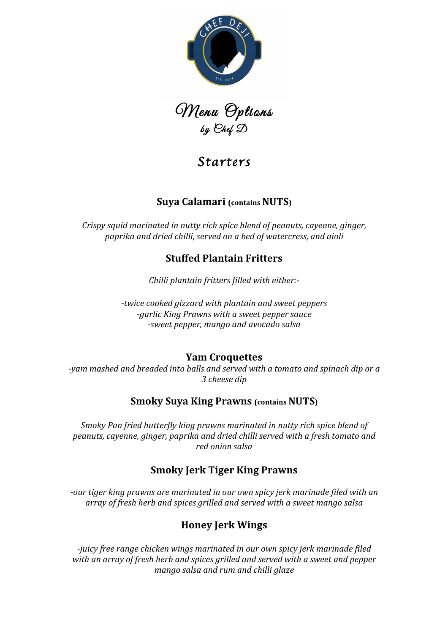

Menu Options<br>by Chef D

# *Starters*

# **Suya Calamari (contains NUTS)**

*Crispy squid marinated in nutty rich spice blend of peanuts, cayenne, ginger, paprika and dried chilli, served on a bed of watercress, and aioli*

# **Stuffed Plantain Fritters**

*Chilli plantain fritters filled with either:-*

*-twice cooked gizzard with plantain and sweet peppers -garlic King Prawns with a sweet pepper sauce -sweet pepper, mango and avocado salsa*

## **Yam Croquettes**

-yam mashed and breaded into balls and served with a tomato and spinach dip or a *3 cheese dip*

## **Smoky Suya King Prawns (contains NUTS)**

*Smoky Pan fried butterfly king prawns marinated in nutty rich spice blend of* peanuts, cayenne, ginger, paprika and dried chilli served with a fresh tomato and *red onion salsa*

## **Smoky Jerk Tiger King Prawns**

*-our* tiger king prawns are marinated in our own spicy jerk marinade filed with an array of fresh herb and spices grilled and served with a sweet mango salsa

# **Honey Jerk Wings**

*-juicy* free range chicken wings marinated in our own spicy jerk marinade filed with an array of fresh herb and spices grilled and served with a sweet and pepper *mango salsa and rum and chilli glaze*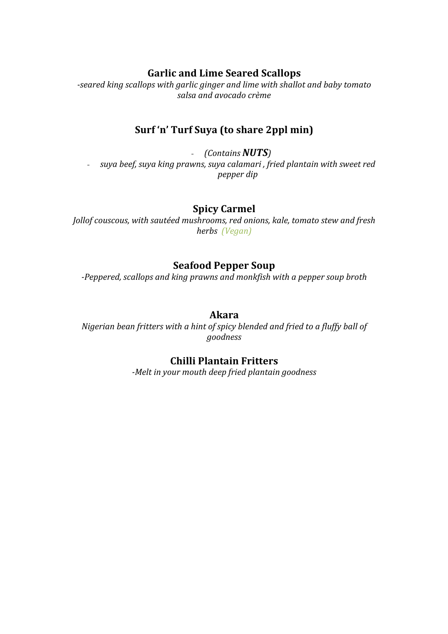#### **Garlic and Lime Seared Scallops**

-seared king scallops with garlic ginger and lime with shallot and baby tomato salsa and avocado crème

#### Surf 'n' Turf Suya (to share 2ppl min)

*- (Contains NUTS) - suya beef, suya king prawns, suya calamari, fried plantain with sweet red pepper dip*

#### **Spicy Carmel**

*Jollof couscous, with sautéed mushrooms, red onions, kale, tomato stew and fresh herbs (Vegan)*

#### **Seafood Pepper Soup**

*-Peppered, scallops and king prawns and monkfish with a pepper soup broth* 

#### **Akara**

*Nigerian bean fritters with a hint of spicy blended and fried to a fluffy ball of goodness*

#### **Chilli Plantain Fritters**

-Melt in your mouth deep fried plantain goodness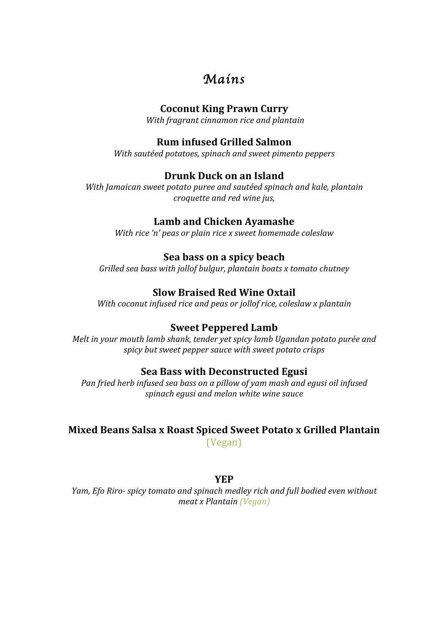# *Mains*

#### **Coconut King Prawn Curry**

*With fragrant cinnamon rice and plantain*

#### **Rum infused Grilled Salmon**

*With sautéed potatoes, spinach and sweet pimento peppers*

#### **Drunk Duck on an Island**

*With Jamaican sweet potato puree and sautéed spinach and kale, plantain croquette and red wine jus,* 

#### Lamb and Chicken Ayamashe

*With rice 'n' peas or plain rice x sweet homemade coleslaw* 

#### **Sea bass on a spicy beach**

*Grilled sea bass with jollof bulgur, plantain boats x tomato chutney* 

## **Slow Braised Red Wine Oxtail**

*With coconut infused rice and peas or jollof rice, coleslaw x plantain* 

#### **Sweet Peppered Lamb**

*Melt* in your mouth lamb shank, tender yet spicy lamb Ugandan potato purée and spicy but sweet pepper sauce with sweet potato crisps

#### **Sea Bass with Deconstructed Egusi**

*Pan fried herb infused sea bass on a pillow of vam mash and equsi oil infused spinach egusi and melon white wine sauce*

# **Mixed Beans Salsa x Roast Spiced Sweet Potato x Grilled Plantain**

(Vegan)

#### **YEP**

*Yam, Efo Riro- spicy tomato and spinach medley rich and full bodied even without meat x Plantain (Vegan)*